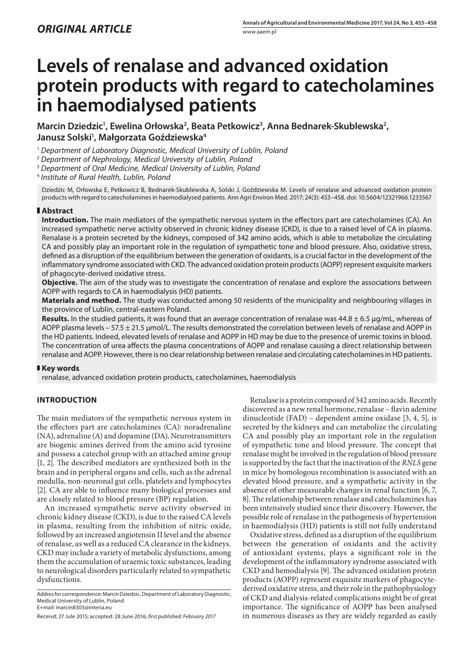# **Levels of renalase and advanced oxidation protein products with regard to catecholamines in haemodialysed patients**

Marcin Dziedzic<sup>1</sup>, Ewelina Orłowska<sup>2</sup>, Beata Petkowicz<sup>3</sup>, Anna Bednarek-Skublewska<sup>2</sup>, **Janusz Solski1 , Małgorzata Goździewska4**

<sup>1</sup> *Department of Laboratory Diagnostic, Medical University of Lublin, Poland*

<sup>2</sup> *Department of Nephrology, Medical University of Lublin, Poland*

<sup>3</sup> *Department of Oral Medicine, Medical University of Lublin, Poland*

<sup>4</sup> *Institute of Rural Health, Lublin, Poland*

Dziedzic M, Orłowska E, Petkowicz B, Bednarek-Skublewska A, Solski J, Goździewska M. Levels of renalase and advanced oxidation protein products with regard to catecholamines in haemodialysed patients. Ann Agri Environ Med. 2017; 24(3): 453–458. doi: 10.5604/12321966.1233567

## **Abstract**

**Introduction.** The main mediators of the sympathetic nervous system in the effectors part are catecholamines (CA). An increased sympathetic nerve activity observed in chronic kidney disease (CKD), is due to a raised level of CA in plasma. Renalase is a protein secreted by the kidneys, composed of 342 amino acids, which is able to metabolize the circulating CA and possibly play an important role in the regulation of sympathetic tone and blood pressure. Also, oxidative stress, defined as a disruption of the equilibrium between the generation of oxidants, is a crucial factor in the development of the inflammatory syndrome associated with CKD. The advanced oxidation protein products (AOPP) represent exquisite markers of phagocyte-derived oxidative stress.

**Objective.** The aim of the study was to investigate the concentration of renalase and explore the associations between AOPP with regards to CA in haemodialysis (HD) patients.

**Materials and method.** The study was conducted among 50 residents of the municipality and neighbouring villages in the province of Lublin, central-eastern Poland.

**Results.** In the studied patients, it was found that an average concentration of renalase was 44.8 ± 6.5 µg/mL, whereas of AOPP plasma levels – 57.5  $\pm$  21.5 µmol/L. The results demonstrated the correlation between levels of renalase and AOPP in the HD patients. Indeed, elevated levels of renalase and AOPP in HD may be due to the presence of uremic toxins in blood. The concentration of urea affects the plasma concentrations of AOPP and renalase causing a direct relationship between renalase and AOPP. However, there is no clear relationship between renalase and circulating catecholamines in HD patients.

### **Key words**

renalase, advanced oxidation protein products, catecholamines, haemodialysis

# **INTRODUCTION**

The main mediators of the sympathetic nervous system in the effectors part are catecholamines (CA): noradrenaline (NA), adrenaline (A) and dopamine (DA). Neurotransmitters are biogenic amines derived from the amino acid tyrosine and possess a catechol group with an attached amine group [1, 2]. The described mediators are synthesized both in the brain and in peripheral organs and cells, such as the adrenal medulla, non-neuronal gut cells, platelets and lymphocytes [2]. CA are able to influence many biological processes and are closely related to blood pressure (BP) regulation.

An increased sympathetic nerve activity observed in chronic kidney disease (CKD), is due to the raised CA levels in plasma, resulting from the inhibition of nitric oxide, followed by an increased angiotensin II level and the absence of renalase, as well as a reduced CA clearance in the kidneys. CKD may include a variety of metabolic dysfunctions, among them the accumulation of uraemic toxic substances, leading to neurological disorders particularly related to sympathetic dysfunctions.

Addres for correspondence: Marcin Dziedzic, Department of Laboratory Diagnostic, Medical University of Lublin, Poland E+mail: marcin8303@interia.eu

Receivd; 27 Jule 2015; accepted: 28 June 2016; *first published: February 2017*

Renalase is a protein composed of 342 amino acids. Recently discovered as a new renal hormone, renalase – flavin adenine dinucleotide (FAD) – dependent amine oxidase [3, 4, 5], is secreted by the kidneys and can metabolize the circulating CA and possibly play an important role in the regulation of sympathetic tone and blood pressure. The concept that renalase might be involved in the regulation of blood pressure is supported by the fact that the inactivation of the *RNLS* gene in mice by homologous recombination is associated with an elevated blood pressure, and a sympathetic activity in the absence of other measurable changes in renal function [6, 7, 8]. The relationship between renalase and catecholamines has been intensively studied since their discovery. However, the possible role of renalase in the pathogenesis of hypertension in haemodialysis (HD) patients is still not fully understand

Oxidative stress, defined as a disruption of the equilibrium between the generation of oxidants and the activity of antioxidant systems, plays a significant role in the development of the inflammatory syndrome associated with CKD and hemodialysis [9]. The advanced oxidation protein products (AOPP) represent exquisite markers of phagocytederived oxidative stress, and their role in the pathophysiology of CKD and dialysis-related complications might be of great importance. The significance of AOPP has been analysed in numerous diseases as they are widely regarded as easily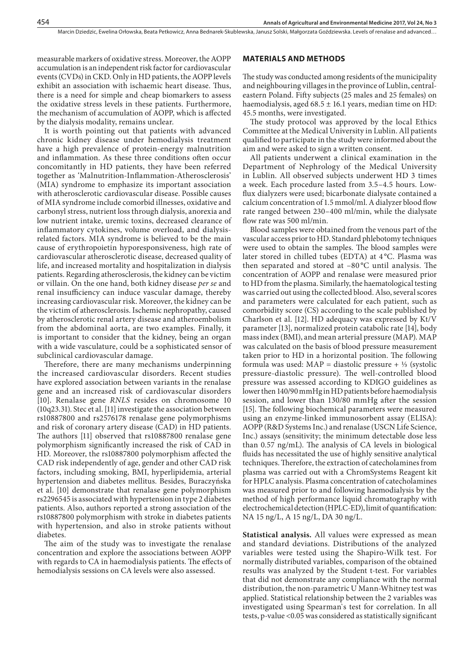measurable markers of oxidative stress. Moreover, the AOPP accumulation is an independent risk factor for cardiovascular events (CVDs) in CKD. Only in HD patients, the AOPP levels exhibit an association with ischaemic heart disease. Thus, there is a need for simple and cheap biomarkers to assess the oxidative stress levels in these patients. Furthermore, the mechanism of accumulation of AOPP, which is affected by the dialysis modality, remains unclear.

It is worth pointing out that patients with advanced chronic kidney disease under hemodialysis treatment have a high prevalence of protein-energy malnutrition and inflammation. As these three conditions often occur concomitantly in HD patients, they have been referred together as 'Malnutrition-Inflammation-Atherosclerosis' (MIA) syndrome to emphasize its important association with atherosclerotic cardiovascular disease. Possible causes of MIA syndrome include comorbid illnesses, oxidative and carbonyl stress, nutrient loss through dialysis, anorexia and low nutrient intake, uremic toxins, decreased clearance of inflammatory cytokines, volume overload, and dialysisrelated factors. MIA syndrome is believed to be the main cause of erythropoietin hyporesponsiveness, high rate of cardiovascular atherosclerotic disease, decreased quality of life, and increased mortality and hospitalization in dialysis patients. Regarding atherosclerosis, the kidney can be victim or villain. On the one hand, both kidney disease *per se* and renal insufficiency can induce vascular damage, thereby increasing cardiovascular risk. Moreover, the kidney can be the victim of atherosclerosis. Ischemic nephropathy, caused by atherosclerotic renal artery disease and atheroembolism from the abdominal aorta, are two examples. Finally, it is important to consider that the kidney, being an organ with a wide vasculature, could be a sophisticated sensor of subclinical cardiovascular damage.

Therefore, there are many mechanisms underpinning the increased cardiovascular disorders. Recent studies have explored association between variants in the renalase gene and an increased risk of cardiovascular disorders [10]. Renalase gene *RNLS* resides on chromosome 10 (10q23.31). Stec et al. [11] investigate the association between rs10887800 and rs2576178 renalase gene polymorphisms and risk of coronary artery disease (CAD) in HD patients. The authors [11] observed that rs10887800 renalase gene polymorphism significantly increased the risk of CAD in HD. Moreover, the rs10887800 polymorphism affected the CAD risk independently of age, gender and other CAD risk factors, including smoking, BMI, hyperlipidemia, arterial hypertension and diabetes mellitus. Besides, Buraczyńska et al. [10] demonstrate that renalase gene polymorphism rs2296545 is associated with hypertension in type 2 diabetes patients. Also, authors reported a strong association of the rs10887800 polymorphism with stroke in diabetes patients with hypertension, and also in stroke patients without diabetes.

The aim of the study was to investigate the renalase concentration and explore the associations between AOPP with regards to CA in haemodialysis patients. The effects of hemodialysis sessions on CA levels were also assessed.

#### **MATERIALS AND METHODS**

The study was conducted among residents of the municipality and neighbouring villages in the province of Lublin, centraleastern Poland. Fifty subjects (25 males and 25 females) on haemodialysis, aged  $68.5 \pm 16.1$  years, median time on HD: 45.5 months, were investigated.

The study protocol was approved by the local Ethics Committee at the Medical University in Lublin. All patients qualified to participate in the study were informed about the aim and were asked to sign a written consent.

All patients underwent a clinical examination in the Department of Nephrology of the Medical University in Lublin. All observed subjects underwent HD 3 times a week. Each procedure lasted from 3.5–4.5 hours. Lowflux dialyzers were used; bicarbonate dialysate contained a calcium concentration of 1.5 mmol/ml. A dialyzer blood flow rate ranged between 230–400 ml/min, while the dialysate flow rate was 500 ml/min.

Blood samples were obtained from the venous part of the vascular access prior to HD. Standard phlebotomy techniques were used to obtain the samples. The blood samples were later stored in chilled tubes (EDTA) at 4 °C. Plasma was then separated and stored at  $-80^{\circ}$ C until analysis. The concentration of AOPP and renalase were measured prior to HD from the plasma. Similarly, the haematological testing was carried out using the collected blood. Also, several scores and parameters were calculated for each patient, such as comorbidity score (CS) according to the scale published by Charlson et al. [12]. HD adequacy was expressed by Kt/V parameter [13], normalized protein catabolic rate [14], body mass index (BMI), and mean arterial pressure (MAP). MAP was calculated on the basis of blood pressure measurement taken prior to HD in a horizontal position. The following formula was used: MAP = diastolic pressure + 1⁄3 (systolic pressure-diastolic pressure). The well-controlled blood pressure was assessed according to KDIGO guidelines as lower then 140/90 mmHg in HD patients before haemodialysis session, and lower than 130/80 mmHg after the session [15]. The following biochemical parameters were measured using an enzyme-linked immunosorbent assay (ELISA): AOPP (R&D Systems Inc.) and renalase (USCN Life Science, Inc.) assays (sensitivity; the minimum detectable dose less than 0.57 ng/mL). The analysis of CA levels in biological fluids has necessitated the use of highly sensitive analytical techniques. Therefore, the extraction of catecholamines from plasma was carried out with a ChromSystems Reagent kit for HPLC analysis. Plasma concentration of catecholamines was measured prior to and following haemodialysis by the method of high performance liquid chromatography with electrochemical detection (HPLC-ED), limit of quantification: NA 15 ng/L, A 15 ng/L, DA 30 ng/L.

**Statistical analysis.** All values were expressed as mean and standard deviations. Distributions of the analyzed variables were tested using the Shapiro-Wilk test. For normally distributed variables, comparison of the obtained results was analyzed by the Student t-test. For variables that did not demonstrate any compliance with the normal distribution, the non-parametric U Mann-Whitney test was applied. Statistical relationship between the 2 variables was investigated using Spearman`s test for correlation. In all tests, p-value <0.05 was considered as statistically significant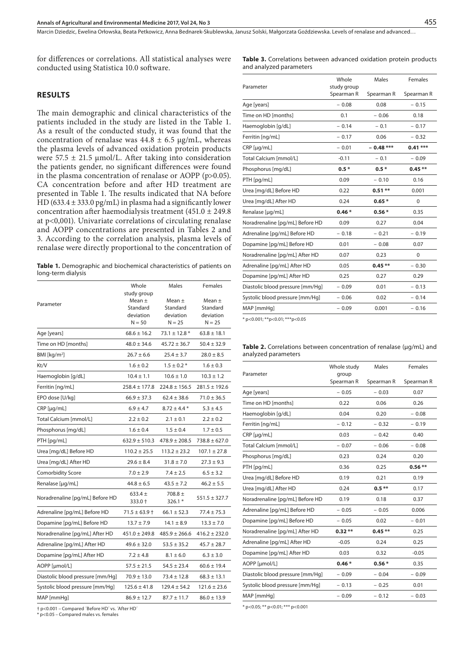Marcin Dziedzic, Ewelina Orłowska, Beata Petkowicz, Anna Bednarek-Skublewska, Janusz Solski, Małgorzata Goździewska . Levels of renalase and advanced…

for differences or correlations. All statistical analyses were conducted using Statistica 10.0 software.

#### **RESULTS**

The main demographic and clinical characteristics of the patients included in the study are listed in the Table 1. As a result of the conducted study, it was found that the concentration of renalase was  $44.8 \pm 6.5$  µg/mL, whereas the plasma levels of advanced oxidation protein products were  $57.5 \pm 21.5 \mu$ mol/L. After taking into consideration the patients gender, no significant differences were found in the plasma concentration of renalase or AOPP (p>0.05). CA concentration before and after HD treatment are presented in Table 1. The results indicated that NA before HD (633.4  $\pm$  333.0 pg/mL) in plasma had a significantly lower concentration after haemodialysis treatment (451.0 ± 249.8 at p<0,001). Univariate correlations of circulating renalase and AOPP concentrations are presented in Tables 2 and 3. According to the correlation analysis, plasma levels of renalase were directly proportional to the concentration of

**Table 1.** Demographic and biochemical characteristics of patients on long-term dialysis

|                                  | Whole                                                          | Males                                           | Females                                         |
|----------------------------------|----------------------------------------------------------------|-------------------------------------------------|-------------------------------------------------|
| Parameter                        | study group<br>Mean $\pm$<br>Standard<br>deviation<br>$N = 50$ | Mean $\pm$<br>Standard<br>deviation<br>$N = 25$ | Mean $\pm$<br>Standard<br>deviation<br>$N = 25$ |
| Age [years]                      | $68.6 \pm 16.2$                                                | $73.1 \pm 12.8$ *                               | $63.8 \pm 18.1$                                 |
| Time on HD [months]              | $48.0 \pm 34.6$                                                | $45.72 \pm 36.7$                                | $50.4 \pm 32.9$                                 |
| BMI [kg/m <sup>2</sup> ]         | $26.7 \pm 6.6$                                                 | $25.4 \pm 3.7$                                  | $28.0 \pm 8.5$                                  |
| Kt/V                             | $1.6 \pm 0.2$                                                  | $1.5 \pm 0.2$ *                                 | $1.6 \pm 0.3$                                   |
| Haemoglobin [g/dL]               | $10.4 \pm 1.1$                                                 | $10.6 \pm 1.0$                                  | $10.3 \pm 1.2$                                  |
| Ferritin [ng/mL]                 | $258.4 \pm 177.8$                                              | $224.8 \pm 156.5$                               | $281.5 \pm 192.6$                               |
| EPO dose [U/kg]                  | $66.9 \pm 37.3$                                                | $62.4 \pm 38.6$                                 | $71.0 \pm 36.5$                                 |
| CRP [µg/mL]                      | $6.9 \pm 4.7$                                                  | $8.72 \pm 4.4*$                                 | $5.3 \pm 4.5$                                   |
| Total Calcium [mmol/L]           | $2.2 \pm 0.2$                                                  | $2.1 \pm 0.1$                                   | $2.2 \pm 0.2$                                   |
| Phosphorus [mg/dL]               | $1.6 \pm 0.4$                                                  | $1.5 \pm 0.4$                                   | $1.7 \pm 0.5$                                   |
| PTH [pg/mL]                      | $632.9 \pm 510.3$                                              | $478.9 \pm 208.5$                               | $738.8 \pm 627.0$                               |
| Urea [mg/dL] Before HD           | $110.2 \pm 25.5$                                               | $113.2 \pm 23.2$                                | $107.1 \pm 27.8$                                |
| Urea [mg/dL] After HD            | $29.6 \pm 8.4$                                                 | $31.8 \pm 7.0$                                  | $27.3 \pm 9.3$                                  |
| <b>Comorbidity Score</b>         | $7.0 \pm 2.9$                                                  | $7.4 \pm 2.5$                                   | $6.5 \pm 3.2$                                   |
| Renalase [µg/mL]                 | $44.8 \pm 6.5$                                                 | $43.5 \pm 7.2$                                  | $46.2 \pm 5.5$                                  |
| Noradrenaline [pg/mL] Before HD  | 633.4 $\pm$<br>333.0 +                                         | 708.8 $\pm$<br>326.1 *                          | $551.5 \pm 327.7$                               |
| Adrenaline [pg/mL] Before HD     | $71.5 \pm 63.9$ †                                              | $66.1 \pm 52.3$                                 | $77.4 \pm 75.3$                                 |
| Dopamine [pg/mL] Before HD       | $13.7 \pm 7.9$                                                 | $14.1 \pm 8.9$                                  | $13.3 \pm 7.0$                                  |
| Noradrenaline [pg/mL] After HD   | $451.0 \pm 249.8$                                              | $485.9 \pm 266.6$                               | $416.2 \pm 232.0$                               |
| Adrenaline [pg/mL] After HD      | $49.6 \pm 32.0$                                                | $53.5 \pm 35.2$                                 | $45.7 \pm 28.7$                                 |
| Dopamine [pg/mL] After HD        | $7.2 \pm 4.8$                                                  | $8.1 \pm 6.0$                                   | $6.3 \pm 3.0$                                   |
| AOPP [µmol/L]                    | $57.5 \pm 21.5$                                                | $54.5 \pm 23.4$                                 | $60.6 \pm 19.4$                                 |
| Diastolic blood pressure [mm/Hg] | $70.9 \pm 13.0$                                                | $73.4 \pm 12.8$                                 | $68.3 \pm 13.1$                                 |
| Systolic blood pressure [mm/Hq]  | $125.6 \pm 41.8$                                               | $129.4 \pm 54.2$                                | $121.6 \pm 23.6$                                |
| MAP [mmHq]                       | $86.9 \pm 12.7$                                                | $87.7 \pm 11.7$                                 | $86.0 \pm 13.9$                                 |

† p<0.001 – Compared ´Before HD´ vs. ´After HD´

p<0.05 – Compared males vs. females

**Table 3.** Correlations between advanced oxidation protein products and analyzed parameters

| Parameter                        | Whole<br>study group | Males       | Females    |
|----------------------------------|----------------------|-------------|------------|
|                                  | Spearman R           | Spearman R  | Spearman R |
| Age [years]                      | $-0.08$              | 0.08        | $-0.15$    |
| Time on HD [months]              | 0.1                  | $-0.06$     | 0.18       |
| Haemoglobin [g/dL]               | $-0.14$              | $-0.1$      | $-0.17$    |
| Ferritin [nq/mL]                 | $-0.17$              | 0.06        | $-0.32$    |
| CRP [µg/mL]                      | $-0.01$              | $-0.48$ *** | $0.41***$  |
| Total Calcium [mmol/L]           | $-0.11$              | $-0.1$      | $-0.09$    |
| Phosphorus [mg/dL]               | $0.5*$               | $0.5*$      | $0.45**$   |
| PTH [pg/mL]                      | 0.09                 | $-0.10$     | 0.16       |
| Urea [mg/dL] Before HD           | 0.22                 | $0.51**$    | 0.001      |
| Urea [mg/dL] After HD            | 0.24                 | $0.65*$     | 0          |
| Renalase [µg/mL]                 | $0.46*$              | $0.56*$     | 0.35       |
| Noradrenaline [pg/mL] Before HD  | 0.09                 | 0.27        | 0.04       |
| Adrenaline [pg/mL] Before HD     | $-0.18$              | $-0.21$     | $-0.19$    |
| Dopamine [pg/mL] Before HD       | 0.01                 | $-0.08$     | 0.07       |
| Noradrenaline [pg/mL] After HD   | 0.07                 | 0.23        | 0          |
| Adrenaline [pg/mL] After HD      | 0.05                 | $0.45**$    | $-0.30$    |
| Dopamine [pg/mL] After HD        | 0.25                 | 0.27        | 0.29       |
| Diastolic blood pressure [mm/Hq] | $-0.09$              | 0.01        | $-0.13$    |
| Systolic blood pressure [mm/Hq]  | $-0.06$              | 0.02        | $-0.14$    |
| MAP [mmHq]                       | $-0.09$              | 0.001       | $-0.16$    |

\* p<0.001; \*\*p<0.01; \*\*\*p<0.05

| <b>Table 2.</b> Correlations between concentration of renalase ( $\mu q/ml$ ) and |  |
|-----------------------------------------------------------------------------------|--|
| analyzed parameters                                                               |  |

| Parameter                        | Whole study<br>group | Males      | Females    |
|----------------------------------|----------------------|------------|------------|
|                                  | Spearman R           | Spearman R | Spearman R |
| Age [years]                      | $-0.05$              | $-0.03$    | 0.07       |
| Time on HD [months]              | 0.22                 | 0.06       | 0.26       |
| Haemoglobin [g/dL]               | 0.04                 | 0.20       | $-0.08$    |
| Ferritin [ng/mL]                 | $-0.12$              | $-0.32$    | $-0.19$    |
| CRP [µg/mL]                      | 0.03                 | $-0.42$    | 0.40       |
| Total Calcium [mmol/L]           | $-0.07$              | $-0.06$    | $-0.08$    |
| Phosphorus [mg/dL]               | 0.23                 | 0.24       | 0.20       |
| PTH [pg/mL]                      | 0.36                 | 0.25       | $0.56**$   |
| Urea [mg/dL] Before HD           | 0.19                 | 0.21       | 0.19       |
| Urea [mg/dL] After HD            | 0.24                 | $0.5***$   | 0.17       |
| Noradrenaline [pg/mL] Before HD  | 0.19                 | 0.18       | 0.37       |
| Adrenaline [pg/mL] Before HD     | $-0.05$              | $-0.05$    | 0.006      |
| Dopamine [pg/mL] Before HD       | $-0.05$              | 0.02       | $-0.01$    |
| Noradrenaline [pg/mL] After HD   | $0.32**$             | $0.45**$   | 0.25       |
| Adrenaline [pg/mL] After HD      | $-0.05$              | 0.24       | 0.25       |
| Dopamine [pg/mL] After HD        | 0.03                 | 0.32       | $-0.05$    |
| AOPP [µmol/L]                    | $0.46*$              | $0.56*$    | 0.35       |
| Diastolic blood pressure [mm/Hq] | $-0.09$              | $-0.04$    | $-0.09$    |
| Systolic blood pressure [mm/Hq]  | $-0.13$              | $-0.25$    | 0.01       |
| MAP [mmHq]                       | $-0.09$              | $-0.12$    | $-0.03$    |

 $*$  p<0.05;  $*$ \* $p$  <0.01;  $**$   $p$  <0.001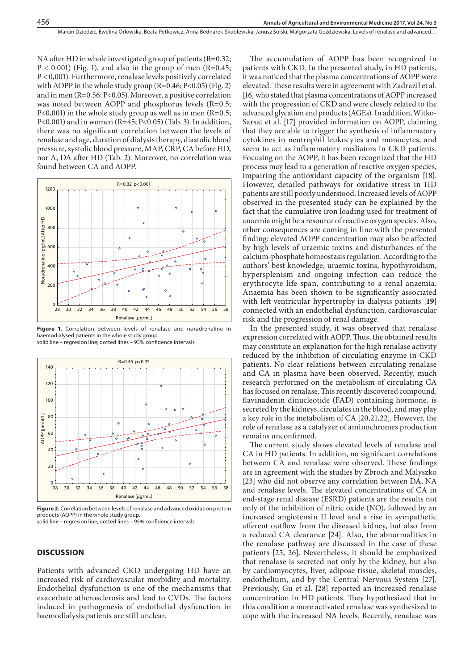NA after HD in whole investigated group of patients (R=0.32;  $P < 0.001$ ) (Fig. 1), and also in the group of men (R=0.45; P < 0,001). Furthermore, renalase levels positively correlated with AOPP in the whole study group (R=0.46; P<0.05) (Fig. 2) and in men (R=0.56; P<0.05). Moreover, a positive correlation was noted between AOPP and phosphorus levels (R=0.5;  $P<0,001$ ) in the whole study group as well as in men (R=0.5; P<0.001) and in women (R=45; P<0.05) (Tab. 3). In addition, there was no significant correlation between the levels of renalase and age, duration of dialysis therapy, diastolic blood pressure, systolic blood pressure, MAP, CRP, CA before HD, nor A, DA after HD (Tab. 2). Moreover, no correlation was found between CA and AOPP.



**Figure 1.** Correlation between levels of renalase and noradrenaline in haemodialysed patients in the whole study group. solid line – regresion line; dotted lines – 95% confidence intervals



**Figure 2.** Correlation between levels of renalase and advanced oxidation protein products (AOPP) in the whole study group. solid line – regresion line; dotted lines – 95% confidence intervals

#### **DISCUSSION**

Patients with advanced CKD undergoing HD have an increased risk of cardiovascular morbidity and mortality. Endothelial dysfunction is one of the mechanisms that exacerbate atherosclerosis and lead to CVDs. The factors induced in pathogenesis of endothelial dysfunction in haemodialysis patients are still unclear.

The accumulation of AOPP has been recognized in patients with CKD. In the presented study, in HD patients, it was noticed that the plasma concentrations of AOPP were elevated. These results were in agreement with Zadrazil et al. [16] who stated that plasma concentrations of AOPP increased with the progression of CKD and were closely related to the advanced glycation end products (AGEs). In addition, Witko-Sarsat et al. [17] provided information on AOPP, claiming that they are able to trigger the synthesis of inflammatory cytokines in neutrophil leukocytes and monocytes, and seem to act as inflammatory mediators in CKD patients. Focusing on the AOPP, it has been recognized that the HD process may lead to a generation of reactive oxygen species, impairing the antioxidant capacity of the organism [18]. However, detailed pathways for oxidative stress in HD patients are still poorly understood. Increased levels of AOPP observed in the presented study can be explained by the fact that the cumulative iron loading used for treatment of anaemia might be a resource of reactive oxygen species. Also, other consequences are coming in line with the presented finding: elevated AOPP concentration may also be affected by high levels of uraemic toxins and disturbances of the calcium-phosphate homeostasis regulation. According to the authors' best knowledge, uraemic toxins, hypothyroidism, hypersplenism and ongoing infection can reduce the erythrocyte life span, contributing to a renal anaemia. Anaemia has been shown to be significantly associated with left ventricular hypertrophy in dialysis patients [**19**] connected with an endothelial dysfunction, cardiovascular risk and the progression of renal damage.

In the presented study, it was observed that renalase expression correlated with AOPP. Thus, the obtained results may constitute an explanation for the high renalase activity reduced by the inhibition of circulating enzyme in CKD patients. No clear relations between circulating renalase and CA in plasma have been observed. Recently, much research performed on the metabolism of circulating CA has focused on renalase. This recently discovered compound, flavinadenin dinucleotide (FAD) containing hormone, is secreted by the kidneys, circulates in the blood, and may play a key role in the metabolism of CA [20,21,22]. However, the role of renalase as a catalyzer of aminochromes production remains unconfirmed.

The current study shows elevated levels of renalase and CA in HD patients. In addition, no significant correlations between CA and renalase were observed. These findings are in agreement with the studies by Zbroch and Malyszko [23] who did not observe any correlation between DA, NA and renalase levels. The elevated concentrations of CA in end-stage renal disease (ESRD) patients are the results not only of the inhibition of nitric oxide (NO), followed by an increased angiotensin II level and a rise in sympathetic afferent outflow from the diseased kidney, but also from a reduced CA clearance [24]. Also, the abnormalities in the renalase pathway are discussed in the case of these patients [25, 26]. Nevertheless, it should be emphasized that renalase is secreted not only by the kidney, but also by cardiomyocytes, liver, adipose tissue, skeletal muscles, endothelium, and by the Central Nervous System [27]. Previously, Gu et al. [28] reported an increased renalase concentration in HD patients. They hypothesized that in this condition a more activated renalase was synthesized to cope with the increased NA levels. Recently, renalase was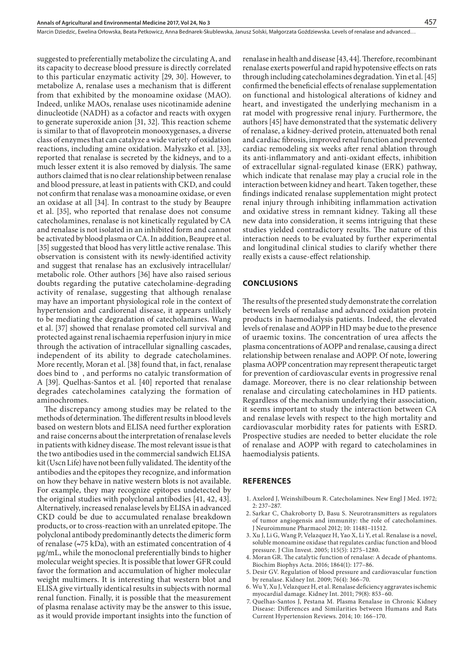suggested to preferentially metabolize the circulating A, and its capacity to decrease blood pressure is directly correlated to this particular enzymatic activity [29, 30]. However, to metabolize A, renalase uses a mechanism that is different from that exhibited by the monoamine oxidase (MAO). Indeed, unlike MAOs, renalase uses nicotinamide adenine dinucleotide (NADH) as a cofactor and reacts with oxygen to generate superoxide anion [31, 32]. This reaction scheme is similar to that of flavoprotein monooxygenases, a diverse class of enzymes that can catalyze a wide variety of oxidation reactions, including amine oxidation. Małyszko et al. [33], reported that renalase is secreted by the kidneys, and to a much lesser extent it is also removed by dialysis. The same authors claimed that is no clear relationship between renalase and blood pressure, at least in patients with CKD, and could not confirm that renalase was a monoamine oxidase, or even an oxidase at all [34]. In contrast to the study by Beaupre et al. [35], who reported that renalase does not consume catecholamines, renalase is not kinetically regulated by CA and renalase is not isolated in an inhibited form and cannot be activated by blood plasma or CA. In addition, Beaupre et al. [35] suggested that blood has very little active renalase. This observation is consistent with its newly-identified activity and suggest that renalase has an exclusively intracellular/ metabolic role. Other authors [36] have also raised serious doubts regarding the putative catecholamine-degrading activity of renalase, suggesting that although renalase may have an important physiological role in the context of hypertension and cardiorenal disease, it appears unlikely to be mediating the degradation of catecholamines. Wang et al. [37] showed that renalase promoted cell survival and protected against renal ischaemia reperfusion injury in mice through the activation of intracellular signalling cascades, independent of its ability to degrade catecholamines. More recently, Moran et al. [38] found that, in fact, renalase does bind to , and performs no catalyic transformation of A [39]. Quelhas-Santos et al. [40] reported that renalase degrades catecholamines catalyzing the formation of aminochromes.

The discrepancy among studies may be related to the methods of determination. The different results in blood levels based on western blots and ELISA need further exploration and raise concerns about the interpretation of renalase levels in patients with kidney disease. The most relevant issue is that the two antibodies used in the commercial sandwich ELISA kit (Uscn Life) have not been fully validated. The identity of the antibodies and the epitopes they recognize, and information on how they behave in native western blots is not available. For example, they may recognize epitopes undetected by the original studies with polyclonal antibodies [41, 42, 43]. Alternatively, increased renalase levels by ELISA in advanced CKD could be due to accumulated renalase breakdown products, or to cross-reaction with an unrelated epitope. The polyclonal antibody predominantly detects the dimeric form of renalase (**~**75 kDa), with an estimated concentration of 4 μg/mL, while the monoclonal preferentially binds to higher molecular weight species. It is possible that lower GFR could favor the formation and accumulation of higher molecular weight multimers. It is interesting that western blot and ELISA give virtually identical results in subjects with normal renal function. Finally, it is possible that the measurement of plasma renalase activity may be the answer to this issue, as it would provide important insights into the function of renalase in health and disease [43, 44]. Therefore, recombinant renalase exerts powerful and rapid hypotensive effects on rats through including catecholamines degradation. Yin et al. [45] confirmed the beneficial effects of renalase supplementation on functional and histological alterations of kidney and heart, and investigated the underlying mechanism in a rat model with progressive renal injury. Furthermore, the authors [45] have demonstrated that the systematic delivery of renalase, a kidney-derived protein, attenuated both renal and cardiac fibrosis, improved renal function and prevented cardiac remodeling six weeks after renal ablation through its anti-inflammatory and anti-oxidant effects, inhibition of extracellular signal-regulated kinase (ERK) pathway, which indicate that renalase may play a crucial role in the interaction between kidney and heart. Taken together, these findings indicated renalase supplementation might protect renal injury through inhibiting inflammation activation and oxidative stress in remnant kidney. Taking all these new data into consideration, it seems intriguing that these studies yielded contradictory results. The nature of this interaction needs to be evaluated by further experimental and longitudinal clinical studies to clarify whether there really exists a cause-effect relationship.

#### **CONCLUSIONS**

The results of the presented study demonstrate the correlation between levels of renalase and advanced oxidation protein products in haemodialysis patients. Indeed, the elevated levels of renalase and AOPP in HD may be due to the presence of uraemic toxins. The concentration of urea affects the plasma concentrations of AOPP and renalase, causing a direct relationship between renalase and AOPP. Of note, lowering plasma AOPP concentration may represent therapeutic target for prevention of cardiovascular events in progressive renal damage. Moreover, there is no clear relationship between renalase and circulating catecholamines in HD patients. Regardless of the mechanism underlying their association, it seems important to study the interaction between CA and renalase levels with respect to the high mortality and cardiovascular morbidity rates for patients with ESRD. Prospective studies are needed to better elucidate the role of renalase and AOPP with regard to catecholamines in haemodialysis patients.

#### **REFERENCES**

- 1. Axelord J, Weinshilboum R. Catecholamines. New Engl J Med. 1972; 2: 237–287.
- 2. Sarkar C, Chakroborty D, Basu S. Neurotransmitters as regulators of tumor angiogensis and immunity: the role of catecholamines. J Neuroimmune Pharmacol 2012; 10: 11481–11512.
- 3. Xu J, Li G, Wang P, Velazquez H, Yao X, Li Y, et al. Renalase is a novel, soluble monoamine oxidase that regulates cardiac function and blood pressure. J Clin Invest. 2005; 115(5): 1275–1280.
- 4. Moran GR. The catalytic function of renalase: A decade of phantoms. Biochim Biophys Acta. 2016; 1864(1): 177–86.
- 5. Desir GV. Regulation of blood pressure and cardiovascular function by renalase. Kidney Int. 2009; 76(4): 366–70.
- 6. Wu Y, Xu J, Velazquez H, et al. Renalase deficiency aggravates ischemic myocardial damage. Kidney Int. 2011; 79(8): 853–60.
- 7. Quelhas-Santos J, Pestana M. Plasma Renalase in Chronic Kidney Disease: Differences and Similarities between Humans and Rats Current Hypertension Reviews. 2014; 10: 166–170.